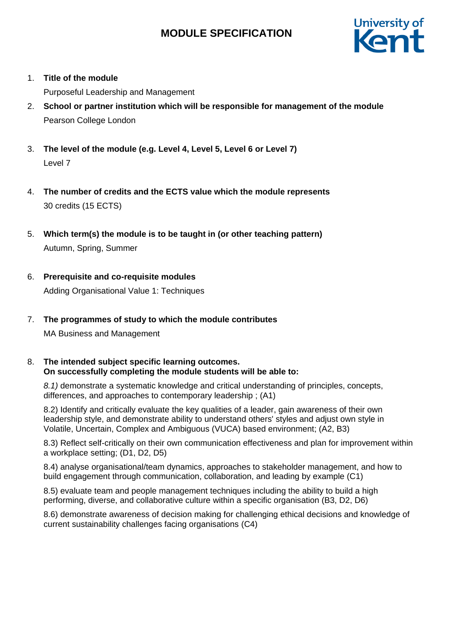

1. **Title of the module**

Purposeful Leadership and Management

- 2. **School or partner institution which will be responsible for management of the module** Pearson College London
- 3. **The level of the module (e.g. Level 4, Level 5, Level 6 or Level 7)** Level 7
- 4. **The number of credits and the ECTS value which the module represents**  30 credits (15 ECTS)
- 5. **Which term(s) the module is to be taught in (or other teaching pattern)** Autumn, Spring, Summer
- 6. **Prerequisite and co-requisite modules** Adding Organisational Value 1: Techniques
- 7. **The programmes of study to which the module contributes**

MA Business and Management

8. **The intended subject specific learning outcomes. On successfully completing the module students will be able to:**

*8.1)* demonstrate a systematic knowledge and critical understanding of principles, concepts, differences, and approaches to contemporary leadership ; (A1)

8.2) Identify and critically evaluate the key qualities of a leader, gain awareness of their own leadership style, and demonstrate ability to understand others' styles and adjust own style in Volatile, Uncertain, Complex and Ambiguous (VUCA) based environment; (A2, B3)

8.3) Reflect self-critically on their own communication effectiveness and plan for improvement within a workplace setting; (D1, D2, D5)

8.4) analyse organisational/team dynamics, approaches to stakeholder management, and how to build engagement through communication, collaboration, and leading by example (C1)

8.5) evaluate team and people management techniques including the ability to build a high performing, diverse, and collaborative culture within a specific organisation (B3, D2, D6)

8.6) demonstrate awareness of decision making for challenging ethical decisions and knowledge of current sustainability challenges facing organisations (C4)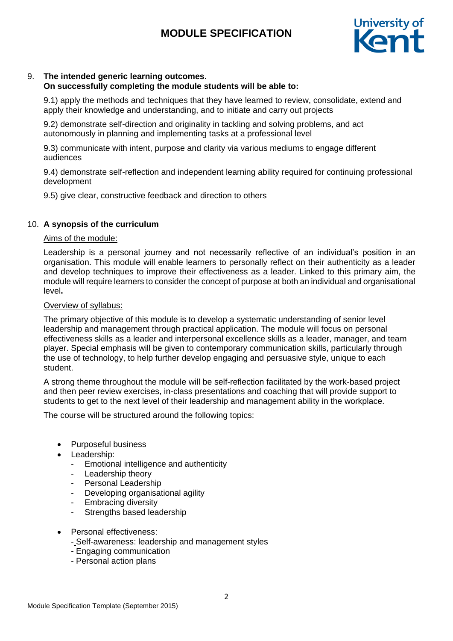

# 9. **The intended generic learning outcomes.**

# **On successfully completing the module students will be able to:**

9.1) apply the methods and techniques that they have learned to review, consolidate, extend and apply their knowledge and understanding, and to initiate and carry out projects

9.2) demonstrate self-direction and originality in tackling and solving problems, and act autonomously in planning and implementing tasks at a professional level

9.3) communicate with intent, purpose and clarity via various mediums to engage different audiences

9.4) demonstrate self-reflection and independent learning ability required for continuing professional development

9.5) give clear, constructive feedback and direction to others

# 10. **A synopsis of the curriculum**

# Aims of the module:

Leadership is a personal journey and not necessarily reflective of an individual's position in an organisation. This module will enable learners to personally reflect on their authenticity as a leader and develop techniques to improve their effectiveness as a leader. Linked to this primary aim, the module will require learners to consider the concept of purpose at both an individual and organisational level**.** 

#### Overview of syllabus:

The primary objective of this module is to develop a systematic understanding of senior level leadership and management through practical application. The module will focus on personal effectiveness skills as a leader and interpersonal excellence skills as a leader, manager, and team player. Special emphasis will be given to contemporary communication skills, particularly through the use of technology, to help further develop engaging and persuasive style, unique to each student.

A strong theme throughout the module will be self-reflection facilitated by the work-based project and then peer review exercises, in-class presentations and coaching that will provide support to students to get to the next level of their leadership and management ability in the workplace.

The course will be structured around the following topics:

- Purposeful business
- Leadership:
	- Emotional intelligence and authenticity
	- Leadership theory
	- Personal Leadership
	- Developing organisational agility
	- Embracing diversity
	- Strengths based leadership
- Personal effectiveness:
	- Self-awareness: leadership and management styles
	- Engaging communication
	- Personal action plans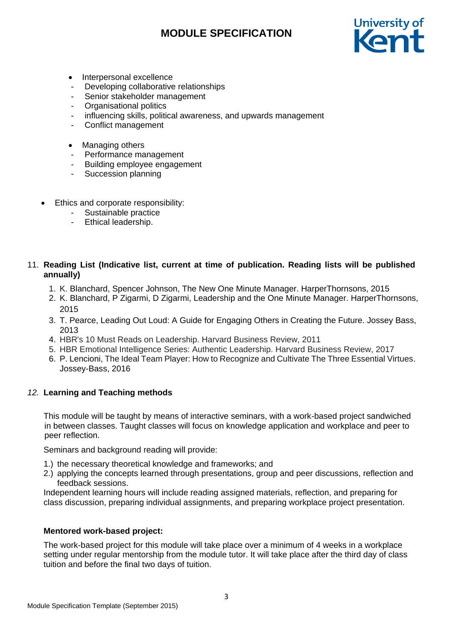

- Interpersonal excellence
- Developing collaborative relationships
- Senior stakeholder management
- Organisational politics
- influencing skills, political awareness, and upwards management
- Conflict management
- Managing others
- Performance management
- Building employee engagement
- Succession planning
- Ethics and corporate responsibility:
	- Sustainable practice
	- Ethical leadership.

# 11. **Reading List (Indicative list, current at time of publication. Reading lists will be published annually)**

- 1. K. [Blanchard,](https://www.amazon.co.uk/s/ref=dp_byline_sr_book_1?ie=UTF8&text=Kenneth+Blanchard&search-alias=books-uk&field-author=Kenneth+Blanchard&sort=relevancerank) [Spencer Johnson,](https://www.amazon.co.uk/s/ref=dp_byline_sr_book_2?ie=UTF8&text=Spencer+Johnson&search-alias=books-uk&field-author=Spencer+Johnson&sort=relevancerank) The New One Minute Manager. HarperThornsons, 2015
- 2. [K. Blanchard,](https://www.amazon.co.uk/s/ref=dp_byline_sr_book_1?ie=UTF8&text=Kenneth+Blanchard&search-alias=books-uk&field-author=Kenneth+Blanchard&sort=relevancerank) [P Zigarmi,](https://www.amazon.co.uk/Patricia-Zigarmi/e/B001KE7SFK/ref=dp_byline_cont_book_2) [D Zigarmi,](https://www.amazon.co.uk/Drea-Zigarmi/e/B001IOF9W6/ref=dp_byline_cont_book_3) Leadership and the One Minute Manager. HarperThornsons, 2015
- 3. T. Pearce, Leading Out Loud: A Guide for Engaging Others in Creating the Future. Jossey Bass, 2013
- 4. HBR's 10 Must Reads on Leadership. Harvard Business Review, 2011
- 5. HBR Emotional Intelligence Series: Authentic Leadership. Harvard Business Review, 2017
- 6. P. Lencioni, The Ideal Team Player: How to Recognize and Cultivate The Three Essential Virtues. Jossey-Bass, 2016

# *12.* **Learning and Teaching methods**

This module will be taught by means of interactive seminars, with a work-based project sandwiched in between classes. Taught classes will focus on knowledge application and workplace and peer to peer reflection.

Seminars and background reading will provide:

- 1.) the necessary theoretical knowledge and frameworks; and
- 2.) applying the concepts learned through presentations, group and peer discussions, reflection and feedback sessions.

Independent learning hours will include reading assigned materials, reflection, and preparing for class discussion, preparing individual assignments, and preparing workplace project presentation.

# **Mentored work-based project:**

The work-based project for this module will take place over a minimum of 4 weeks in a workplace setting under regular mentorship from the module tutor. It will take place after the third day of class tuition and before the final two days of tuition.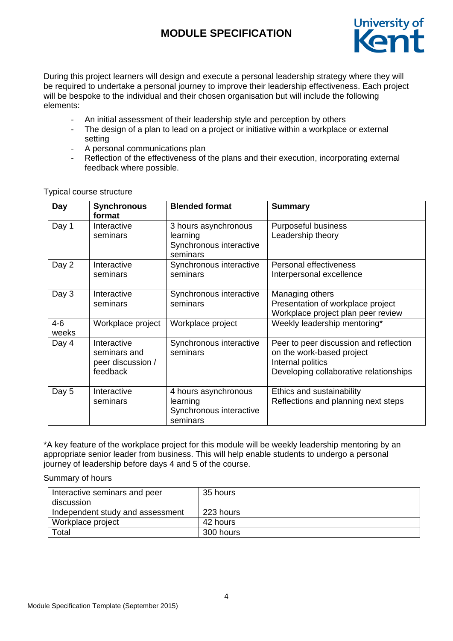

During this project learners will design and execute a personal leadership strategy where they will be required to undertake a personal journey to improve their leadership effectiveness. Each project will be bespoke to the individual and their chosen organisation but will include the following elements:

- An initial assessment of their leadership style and perception by others
- The design of a plan to lead on a project or initiative within a workplace or external setting
- A personal communications plan
- Reflection of the effectiveness of the plans and their execution, incorporating external feedback where possible.

| Day              | <b>Synchronous</b><br>format                                 | <b>Blended format</b>                                                   | <b>Summary</b>                                                                                                                     |
|------------------|--------------------------------------------------------------|-------------------------------------------------------------------------|------------------------------------------------------------------------------------------------------------------------------------|
| Day 1            | Interactive<br>seminars                                      | 3 hours asynchronous<br>learning<br>Synchronous interactive<br>seminars | Purposeful business<br>Leadership theory                                                                                           |
| Day 2            | Interactive<br>seminars                                      | Synchronous interactive<br>seminars                                     | Personal effectiveness<br>Interpersonal excellence                                                                                 |
| Day 3            | Interactive<br>seminars                                      | Synchronous interactive<br>seminars                                     | Managing others<br>Presentation of workplace project<br>Workplace project plan peer review                                         |
| $4 - 6$<br>weeks | Workplace project                                            | Workplace project                                                       | Weekly leadership mentoring*                                                                                                       |
| Day 4            | Interactive<br>seminars and<br>peer discussion /<br>feedback | Synchronous interactive<br>seminars                                     | Peer to peer discussion and reflection<br>on the work-based project<br>Internal politics<br>Developing collaborative relationships |
| Day 5            | Interactive<br>seminars                                      | 4 hours asynchronous<br>learning<br>Synchronous interactive<br>seminars | Ethics and sustainability<br>Reflections and planning next steps                                                                   |

Typical course structure

\*A key feature of the workplace project for this module will be weekly leadership mentoring by an appropriate senior leader from business. This will help enable students to undergo a personal journey of leadership before days 4 and 5 of the course.

Summary of hours

| Interactive seminars and peer    | 35 hours  |
|----------------------------------|-----------|
| discussion                       |           |
| Independent study and assessment | 223 hours |
| Workplace project                | 42 hours  |
| $\tau$ otal                      | 300 hours |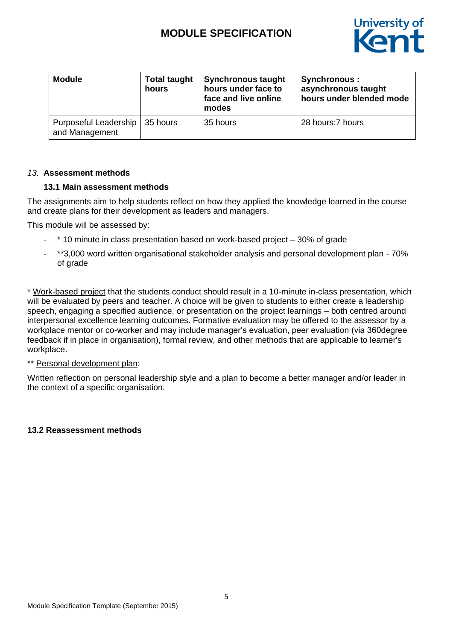

| <b>Module</b>                           | <b>Total taught</b><br>hours | <b>Synchronous taught</b><br>hours under face to<br>face and live online<br>modes | Synchronous :<br>asynchronous taught<br>hours under blended mode |
|-----------------------------------------|------------------------------|-----------------------------------------------------------------------------------|------------------------------------------------------------------|
| Purposeful Leadership<br>and Management | 35 hours                     | 35 hours                                                                          | 28 hours: 7 hours                                                |

#### *13.* **Assessment methods**

#### **13.1 Main assessment methods**

The assignments aim to help students reflect on how they applied the knowledge learned in the course and create plans for their development as leaders and managers.

This module will be assessed by:

- \* 10 minute in class presentation based on work-based project 30% of grade
- \*\*3,000 word written organisational stakeholder analysis and personal development plan 70% of grade

\* Work-based project that the students conduct should result in a 10-minute in-class presentation, which will be evaluated by peers and teacher. A choice will be given to students to either create a leadership speech, engaging a specified audience, or presentation on the project learnings – both centred around interpersonal excellence learning outcomes. Formative evaluation may be offered to the assessor by a workplace mentor or co-worker and may include manager's evaluation, peer evaluation (via 360degree feedback if in place in organisation), formal review, and other methods that are applicable to learner's workplace.

# \*\* Personal development plan:

Written reflection on personal leadership style and a plan to become a better manager and/or leader in the context of a specific organisation.

# **13.2 Reassessment methods**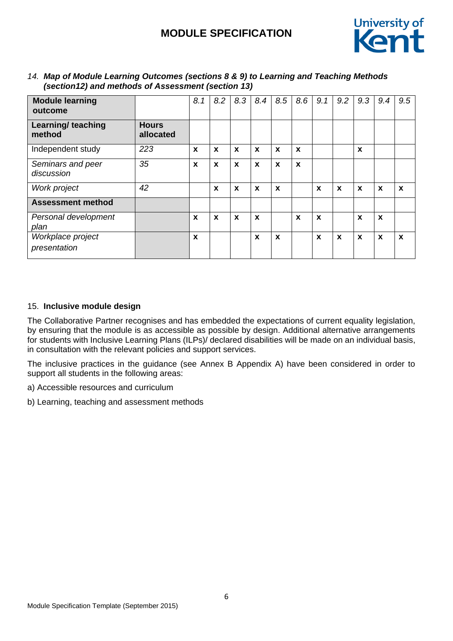

| <b>Module learning</b><br>outcome |                           | 8.1              | 8.2         | 8.3              | 8.4         | 8.5              | 8.6 | 9.1 | 9.2 | 9.3         | 9.4              | 9.5         |
|-----------------------------------|---------------------------|------------------|-------------|------------------|-------------|------------------|-----|-----|-----|-------------|------------------|-------------|
| Learning/ teaching<br>method      | <b>Hours</b><br>allocated |                  |             |                  |             |                  |     |     |     |             |                  |             |
| Independent study                 | 223                       | $\boldsymbol{x}$ | X           | X                | $\mathbf x$ | $\boldsymbol{x}$ | X   |     |     | X           |                  |             |
| Seminars and peer<br>discussion   | 35                        | $\boldsymbol{x}$ | X           | $\boldsymbol{x}$ | X           | X                | X   |     |     |             |                  |             |
| Work project                      | 42                        |                  | X           | X                | X           | X                |     | X   | X   | $\mathbf x$ | $\mathbf x$      | X           |
| <b>Assessment method</b>          |                           |                  |             |                  |             |                  |     |     |     |             |                  |             |
| Personal development<br>plan      |                           | X                | $\mathbf x$ | $\mathbf x$      | $\mathbf x$ |                  | X   | X   |     | $\mathbf x$ | $\boldsymbol{x}$ |             |
| Workplace project<br>presentation |                           | $\boldsymbol{x}$ |             |                  | X           | $\boldsymbol{x}$ |     | X   | X   | $\mathbf x$ | $\boldsymbol{x}$ | $\mathbf x$ |

### *14. Map of Module Learning Outcomes (sections 8 & 9) to Learning and Teaching Methods (section12) and methods of Assessment (section 13)*

# 15. **Inclusive module design**

The Collaborative Partner recognises and has embedded the expectations of current equality legislation, by ensuring that the module is as accessible as possible by design. Additional alternative arrangements for students with Inclusive Learning Plans (ILPs)/ declared disabilities will be made on an individual basis, in consultation with the relevant policies and support services.

The inclusive practices in the guidance (see Annex B Appendix A) have been considered in order to support all students in the following areas:

a) Accessible resources and curriculum

b) Learning, teaching and assessment methods